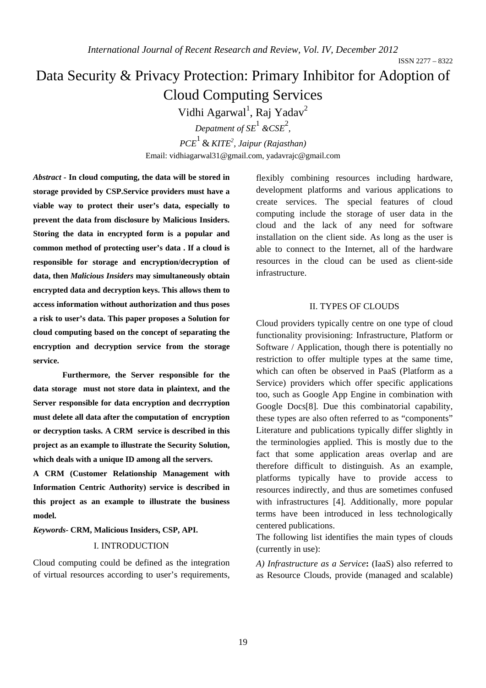ISSN 2277 – 8322

# Data Security & Privacy Protection: Primary Inhibitor for Adoption of Cloud Computing Services

Vidhi Agarwal<sup>1</sup>, Raj Yadav<sup>2</sup>

*Depatment of SE*<sup>1</sup> &CSE<sup>2</sup>,

*PCE*1 & *KITE<sup>2</sup> , Jaipur (Rajasthan)* Email: vidhiagarwal31@gmail.com, yadavrajc@gmail.com

*Abstract* **- In cloud computing, the data will be stored in storage provided by CSP.Service providers must have a viable way to protect their user's data, especially to prevent the data from disclosure by Malicious Insiders. Storing the data in encrypted form is a popular and common method of protecting user's data . If a cloud is responsible for storage and encryption/decryption of data, then** *Malicious Insiders* **may simultaneously obtain encrypted data and decryption keys. This allows them to access information without authorization and thus poses a risk to user's data. This paper proposes a Solution for cloud computing based on the concept of separating the encryption and decryption service from the storage service.** 

 **Furthermore, the Server responsible for the data storage must not store data in plaintext, and the Server responsible for data encryption and decrryption must delete all data after the computation of encryption or decryption tasks. A CRM service is described in this project as an example to illustrate the Security Solution, which deals with a unique ID among all the servers.** 

**A CRM (Customer Relationship Management with Information Centric Authority) service is described in this project as an example to illustrate the business model.** 

*Keywords-* **CRM, Malicious Insiders, CSP, API.** 

#### I. INTRODUCTION

Cloud computing could be defined as the integration of virtual resources according to user's requirements, flexibly combining resources including hardware, development platforms and various applications to create services. The special features of cloud computing include the storage of user data in the cloud and the lack of any need for software installation on the client side. As long as the user is able to connect to the Internet, all of the hardware resources in the cloud can be used as client-side infrastructure.

#### II. TYPES OF CLOUDS

Cloud providers typically centre on one type of cloud functionality provisioning: Infrastructure, Platform or Software / Application, though there is potentially no restriction to offer multiple types at the same time, which can often be observed in PaaS (Platform as a Service) providers which offer specific applications too, such as Google App Engine in combination with Google Docs[8]. Due this combinatorial capability, these types are also often referred to as "components" Literature and publications typically differ slightly in the terminologies applied. This is mostly due to the fact that some application areas overlap and are therefore difficult to distinguish. As an example, platforms typically have to provide access to resources indirectly, and thus are sometimes confused with infrastructures [4]. Additionally, more popular terms have been introduced in less technologically centered publications.

The following list identifies the main types of clouds (currently in use):

*A) Infrastructure as a Service***:** (IaaS) also referred to as Resource Clouds, provide (managed and scalable)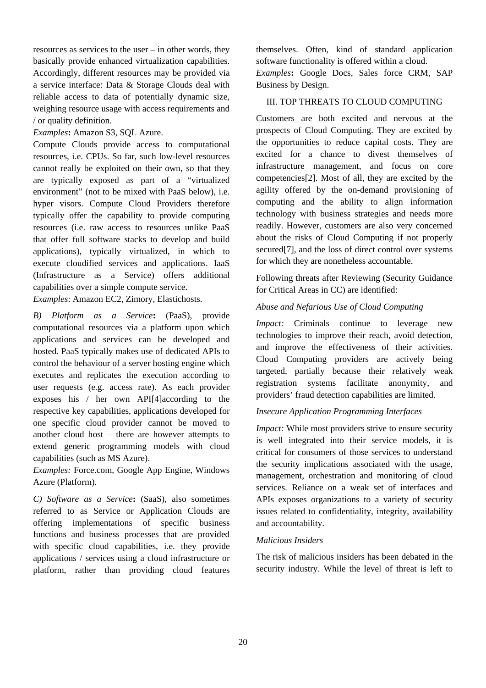resources as services to the user – in other words, they basically provide enhanced virtualization capabilities. Accordingly, different resources may be provided via a service interface: Data & Storage Clouds deal with reliable access to data of potentially dynamic size, weighing resource usage with access requirements and / or quality definition.

*Examples***:** Amazon S3, SQL Azure.

Compute Clouds provide access to computational resources, i.e. CPUs. So far, such low-level resources cannot really be exploited on their own, so that they are typically exposed as part of a "virtualized environment" (not to be mixed with PaaS below), i.e. hyper visors. Compute Cloud Providers therefore typically offer the capability to provide computing resources (i.e. raw access to resources unlike PaaS that offer full software stacks to develop and build applications), typically virtualized, in which to execute cloudified services and applications. IaaS (Infrastructure as a Service) offers additional capabilities over a simple compute service.

*Examples*: Amazon EC2, Zimory, Elastichosts.

*B) Platform as a Service***:** (PaaS), provide computational resources via a platform upon which applications and services can be developed and hosted. PaaS typically makes use of dedicated APIs to control the behaviour of a server hosting engine which executes and replicates the execution according to user requests (e.g. access rate). As each provider exposes his / her own API[4]according to the respective key capabilities, applications developed for one specific cloud provider cannot be moved to another cloud host – there are however attempts to extend generic programming models with cloud capabilities (such as MS Azure).

*Examples:* Force.com, Google App Engine, Windows Azure (Platform).

*C) Software as a Service***:** (SaaS), also sometimes referred to as Service or Application Clouds are offering implementations of specific business functions and business processes that are provided with specific cloud capabilities, i.e. they provide applications / services using a cloud infrastructure or platform, rather than providing cloud features themselves. Often, kind of standard application software functionality is offered within a cloud.

*Examples***:** Google Docs, Sales force CRM, SAP Business by Design.

# III. TOP THREATS TO CLOUD COMPUTING

Customers are both excited and nervous at the prospects of Cloud Computing. They are excited by the opportunities to reduce capital costs. They are excited for a chance to divest themselves of infrastructure management, and focus on core competencies[2]. Most of all, they are excited by the agility offered by the on-demand provisioning of computing and the ability to align information technology with business strategies and needs more readily. However, customers are also very concerned about the risks of Cloud Computing if not properly secured<sup>[7]</sup>, and the loss of direct control over systems for which they are nonetheless accountable.

Following threats after Reviewing (Security Guidance for Critical Areas in CC) are identified:

# *Abuse and Nefarious Use of Cloud Computing*

*Impact:* Criminals continue to leverage new technologies to improve their reach, avoid detection, and improve the effectiveness of their activities. Cloud Computing providers are actively being targeted, partially because their relatively weak registration systems facilitate anonymity, and providers' fraud detection capabilities are limited.

## *Insecure Application Programming Interfaces*

*Impact:* While most providers strive to ensure security is well integrated into their service models, it is critical for consumers of those services to understand the security implications associated with the usage, management, orchestration and monitoring of cloud services. Reliance on a weak set of interfaces and APIs exposes organizations to a variety of security issues related to confidentiality, integrity, availability and accountability.

## *Malicious Insiders*

The risk of malicious insiders has been debated in the security industry. While the level of threat is left to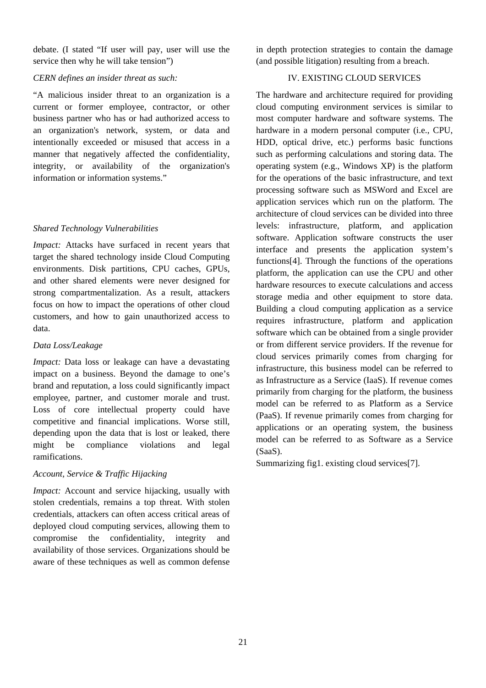debate. (I stated "If user will pay, user will use the service then why he will take tension")

#### *CERN defines an insider threat as such:*

"A malicious insider threat to an organization is a current or former employee, contractor, or other business partner who has or had authorized access to an organization's network, system, or data and intentionally exceeded or misused that access in a manner that negatively affected the confidentiality, integrity, or availability of the organization's information or information systems."

## *Shared Technology Vulnerabilities*

*Impact:* Attacks have surfaced in recent years that target the shared technology inside Cloud Computing environments. Disk partitions, CPU caches, GPUs, and other shared elements were never designed for strong compartmentalization. As a result, attackers focus on how to impact the operations of other cloud customers, and how to gain unauthorized access to data.

## *Data Loss/Leakage*

*Impact:* Data loss or leakage can have a devastating impact on a business. Beyond the damage to one's brand and reputation, a loss could significantly impact employee, partner, and customer morale and trust. Loss of core intellectual property could have competitive and financial implications. Worse still, depending upon the data that is lost or leaked, there might be compliance violations and legal ramifications.

## *Account, Service & Traffic Hijacking*

*Impact:* Account and service hijacking, usually with stolen credentials, remains a top threat. With stolen credentials, attackers can often access critical areas of deployed cloud computing services, allowing them to compromise the confidentiality, integrity and availability of those services. Organizations should be aware of these techniques as well as common defense

in depth protection strategies to contain the damage (and possible litigation) resulting from a breach.

# IV. EXISTING CLOUD SERVICES

The hardware and architecture required for providing cloud computing environment services is similar to most computer hardware and software systems. The hardware in a modern personal computer (i.e., CPU, HDD, optical drive, etc.) performs basic functions such as performing calculations and storing data. The operating system (e.g., Windows XP) is the platform for the operations of the basic infrastructure, and text processing software such as MSWord and Excel are application services which run on the platform. The architecture of cloud services can be divided into three levels: infrastructure, platform, and application software. Application software constructs the user interface and presents the application system's functions[4]. Through the functions of the operations platform, the application can use the CPU and other hardware resources to execute calculations and access storage media and other equipment to store data. Building a cloud computing application as a service requires infrastructure, platform and application software which can be obtained from a single provider or from different service providers. If the revenue for cloud services primarily comes from charging for infrastructure, this business model can be referred to as Infrastructure as a Service (IaaS). If revenue comes primarily from charging for the platform, the business model can be referred to as Platform as a Service (PaaS). If revenue primarily comes from charging for applications or an operating system, the business model can be referred to as Software as a Service (SaaS).

Summarizing fig1. existing cloud services[7].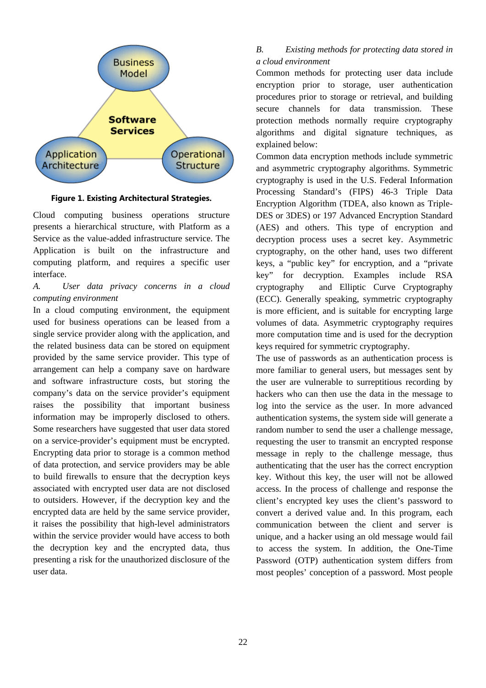

**Figure 1. Existing Architectural Strategies.**

Cloud computing business operations structure presents a hierarchical structure, with Platform as a Service as the value-added infrastructure service. The Application is built on the infrastructure and computing platform, and requires a specific user interface.

# *A. User data privacy concerns in a cloud computing environment*

In a cloud computing environment, the equipment used for business operations can be leased from a single service provider along with the application, and the related business data can be stored on equipment provided by the same service provider. This type of arrangement can help a company save on hardware and software infrastructure costs, but storing the company's data on the service provider's equipment raises the possibility that important business information may be improperly disclosed to others. Some researchers have suggested that user data stored on a service-provider's equipment must be encrypted. Encrypting data prior to storage is a common method of data protection, and service providers may be able to build firewalls to ensure that the decryption keys associated with encrypted user data are not disclosed to outsiders. However, if the decryption key and the encrypted data are held by the same service provider, it raises the possibility that high-level administrators within the service provider would have access to both the decryption key and the encrypted data, thus presenting a risk for the unauthorized disclosure of the user data.

# *B. Existing methods for protecting data stored in a cloud environment*

Common methods for protecting user data include encryption prior to storage, user authentication procedures prior to storage or retrieval, and building secure channels for data transmission. These protection methods normally require cryptography algorithms and digital signature techniques, as explained below:

Common data encryption methods include symmetric and asymmetric cryptography algorithms. Symmetric cryptography is used in the U.S. Federal Information Processing Standard's (FIPS) 46-3 Triple Data Encryption Algorithm (TDEA, also known as Triple-DES or 3DES) or 197 Advanced Encryption Standard (AES) and others. This type of encryption and decryption process uses a secret key. Asymmetric cryptography, on the other hand, uses two different keys, a "public key" for encryption, and a "private key" for decryption. Examples include RSA cryptography and Elliptic Curve Cryptography (ECC). Generally speaking, symmetric cryptography is more efficient, and is suitable for encrypting large volumes of data. Asymmetric cryptography requires more computation time and is used for the decryption keys required for symmetric cryptography.

The use of passwords as an authentication process is more familiar to general users, but messages sent by the user are vulnerable to surreptitious recording by hackers who can then use the data in the message to log into the service as the user. In more advanced authentication systems, the system side will generate a random number to send the user a challenge message, requesting the user to transmit an encrypted response message in reply to the challenge message, thus authenticating that the user has the correct encryption key. Without this key, the user will not be allowed access. In the process of challenge and response the client's encrypted key uses the client's password to convert a derived value and. In this program, each communication between the client and server is unique, and a hacker using an old message would fail to access the system. In addition, the One-Time Password (OTP) authentication system differs from most peoples' conception of a password. Most people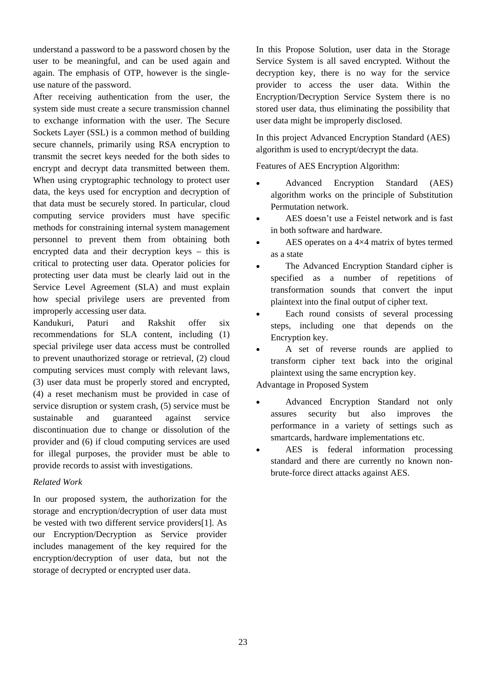understand a password to be a password chosen by the user to be meaningful, and can be used again and again. The emphasis of OTP, however is the singleuse nature of the password.

After receiving authentication from the user, the system side must create a secure transmission channel to exchange information with the user. The Secure Sockets Layer (SSL) is a common method of building secure channels, primarily using RSA encryption to transmit the secret keys needed for the both sides to encrypt and decrypt data transmitted between them. When using cryptographic technology to protect user data, the keys used for encryption and decryption of that data must be securely stored. In particular, cloud computing service providers must have specific methods for constraining internal system management personnel to prevent them from obtaining both encrypted data and their decryption keys – this is critical to protecting user data. Operator policies for protecting user data must be clearly laid out in the Service Level Agreement (SLA) and must explain how special privilege users are prevented from improperly accessing user data.

Kandukuri, Paturi and Rakshit offer six recommendations for SLA content, including (1) special privilege user data access must be controlled to prevent unauthorized storage or retrieval, (2) cloud computing services must comply with relevant laws, (3) user data must be properly stored and encrypted, (4) a reset mechanism must be provided in case of service disruption or system crash, (5) service must be sustainable and guaranteed against service discontinuation due to change or dissolution of the provider and (6) if cloud computing services are used for illegal purposes, the provider must be able to provide records to assist with investigations.

## *Related Work*

In our proposed system, the authorization for the storage and encryption/decryption of user data must be vested with two different service providers[1]. As our Encryption/Decryption as Service provider includes management of the key required for the encryption/decryption of user data, but not the storage of decrypted or encrypted user data.

In this Propose Solution, user data in the Storage Service System is all saved encrypted. Without the decryption key, there is no way for the service provider to access the user data. Within the Encryption/Decryption Service System there is no stored user data, thus eliminating the possibility that user data might be improperly disclosed.

In this project Advanced Encryption Standard (AES) algorithm is used to encrypt/decrypt the data.

Features of AES Encryption Algorithm:

- Advanced Encryption Standard (AES) algorithm works on the principle of Substitution Permutation network.
- AES doesn't use a Feistel network and is fast in both software and hardware.
- AES operates on a 4×4 matrix of bytes termed as a state
- The Advanced Encryption Standard cipher is specified as a number of repetitions of transformation sounds that convert the input plaintext into the final output of cipher text.
- Each round consists of several processing steps, including one that depends on the Encryption key.
- A set of reverse rounds are applied to transform cipher text back into the original plaintext using the same encryption key.

Advantage in Proposed System

- Advanced Encryption Standard not only assures security but also improves the performance in a variety of settings such as smartcards, hardware implementations etc.
- AES is federal information processing standard and there are currently no known nonbrute-force direct attacks against AES.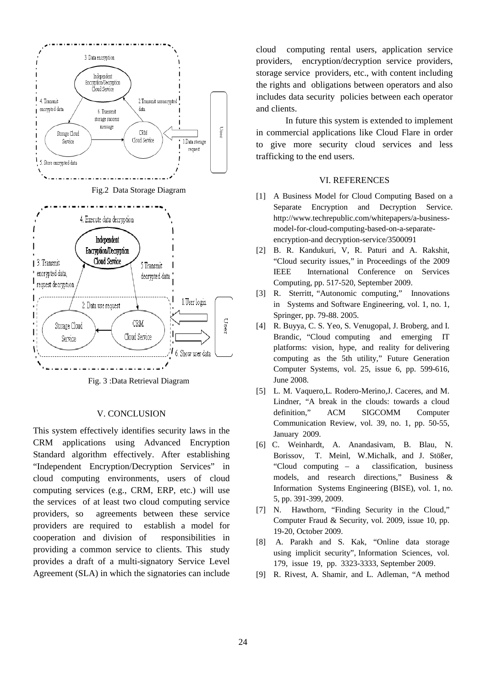

Fig. 3 :Data Retrieval Diagram

#### V. CONCLUSION

This system effectively identifies security laws in the CRM applications using Advanced Encryption Standard algorithm effectively. After establishing "Independent Encryption/Decryption Services" in cloud computing environments, users of cloud computing services (e.g., CRM, ERP, etc.) will use the services of at least two cloud computing service providers, so agreements between these service providers are required to establish a model for cooperation and division of responsibilities in providing a common service to clients. This study provides a draft of a multi-signatory Service Level Agreement (SLA) in which the signatories can include cloud computing rental users, application service providers, encryption/decryption service providers, storage service providers, etc., with content including the rights and obligations between operators and also includes data security policies between each operator and clients.

In future this system is extended to implement in commercial applications like Cloud Flare in order to give more security cloud services and less trafficking to the end users.

#### VI. REFERENCES

- [1] A Business Model for Cloud Computing Based on a Separate Encryption and Decryption Service. http://www.techrepublic.com/whitepapers/a-businessmodel-for-cloud-computing-based-on-a-separateencryption-and decryption-service/3500091
- [2] B. R. Kandukuri, V, R. Paturi and A. Rakshit, "Cloud security issues," in Proceedings of the 2009 IEEE International Conference on Services Computing, pp. 517-520, September 2009.
- [3] R. Sterritt, "Autonomic computing," Innovations in Systems and Software Engineering, vol. 1, no. 1, Springer, pp. 79-88. 2005.
- [4] R. Buyya, C. S. Yeo, S. Venugopal, J. Broberg, and I. Brandic, "Cloud computing and emerging IT platforms: vision, hype, and reality for delivering computing as the 5th utility," Future Generation Computer Systems, vol. 25, issue 6, pp. 599-616, June 2008.
- [5] L. M. Vaquero,L. Rodero-Merino,J. Caceres, and M. Lindner, "A break in the clouds: towards a cloud definition," ACM SIGCOMM Computer Communication Review, vol. 39, no. 1, pp. 50-55, January 2009.
- [6] C. Weinhardt, A. Anandasivam, B. Blau, N. Borissov, T. Meinl, W.Michalk, and J. Stößer, "Cloud computing – a classification, business models, and research directions," Business & Information Systems Engineering (BISE), vol. 1, no. 5, pp. 391-399, 2009.
- [7] N. Hawthorn, "Finding Security in the Cloud," Computer Fraud & Security, vol. 2009, issue 10, pp. 19-20, October 2009.
- [8] A. Parakh and S. Kak, "Online data storage using implicit security", Information Sciences, vol. 179, issue 19, pp. 3323-3333, September 2009.
- [9] R. Rivest, A. Shamir, and L. Adleman, "A method